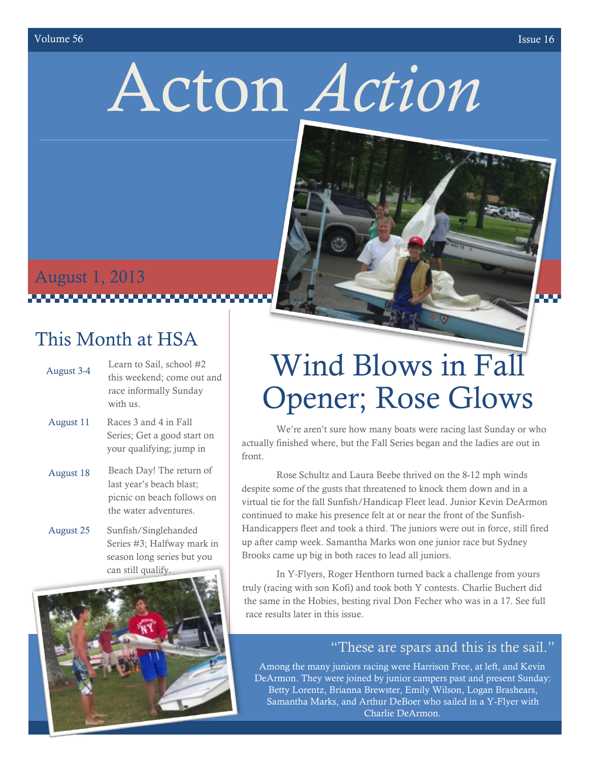#### volume 56 Issue 16

# Acton *Action*

# August 1, 2013 L

### This Month at HSA

- August 3-4 Learn to Sail, school #2 this weekend; come out and race informally Sunday with us.
- August 11 Races 3 and 4 in Fall Series; Get a good start on your qualifying; jump in
- August 18 Beach Day! The return of last year's beach blast; picnic on beach follows on the water adventures.
- August 25 Sunfish/Singlehanded Series #3; Halfway mark in season long series but you can still qualify.



# Wind Blows in Fall Opener; Rose Glows

We're aren't sure how many boats were racing last Sunday or who actually finished where, but the Fall Series began and the ladies are out in front.

Rose Schultz and Laura Beebe thrived on the 8-12 mph winds despite some of the gusts that threatened to knock them down and in a virtual tie for the fall Sunfish/Handicap Fleet lead. Junior Kevin DeArmon continued to make his presence felt at or near the front of the Sunfish-Handicappers fleet and took a third. The juniors were out in force, still fired up after camp week. Samantha Marks won one junior race but Sydney Brooks came up big in both races to lead all juniors.

In Y-Flyers, Roger Henthorn turned back a challenge from yours truly (racing with son Kofi) and took both Y contests. Charlie Buchert did the same in the Hobies, besting rival Don Fecher who was in a 17. See full race results later in this issue.

### "These are spars and this is the sail."

Among the many juniors racing were Harrison Free, at left, and Kevin DeArmon. They were joined by junior campers past and present Sunday: Betty Lorentz, Brianna Brewster, Emily Wilson, Logan Brashears, Samantha Marks, and Arthur DeBoer who sailed in a Y-Flyer with Charlie DeArmon.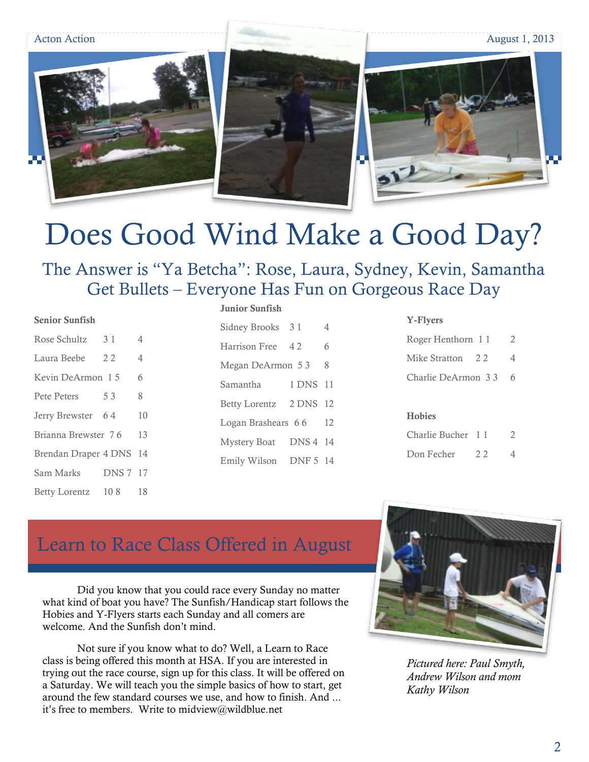Acton Action August 1, 2013





# Does Good Wind Make a Good Day?

The Answer is "Ya Betcha": Rose, Laura, Sydney, Kevin, Samantha Get Bullets – Everyone Has Fun on Gorgeous Race Day

#### **Senior Sunfish**

| Rose Schultz         | 3 1             | 4  |
|----------------------|-----------------|----|
| Laura Beebe          | 22              | 4  |
| Kevin DeArmon 15     |                 | 6  |
| <b>Pete Peters</b>   | 53              | 8  |
| Jerry Brewster       | 64              | 10 |
| Brianna Brewster 76  |                 | 13 |
| Brendan Draper 4 DNS |                 | 14 |
| Sam Marks            | <b>DNS 7 17</b> |    |
| <b>Betty Lorentz</b> | 108             | 18 |

### **Junior Sunfish**

| Sidney Brooks        | 31       | 4  |
|----------------------|----------|----|
| Harrison Free        | 42       | 6  |
| Megan DeArmon 5 3    |          | 8  |
| Samantha             | 1 DNS    | 11 |
| <b>Betty Lorentz</b> | 2 DNS    | 12 |
| Logan Brashears 66   |          | 12 |
| <b>Mystery Boat</b>  | DNS 4 14 |    |
| Emily Wilson         | DNF 5 14 |    |

#### **Y-Flyers**

| Roger Henthorn 11  | 2 |
|--------------------|---|
| Mike Stratton 2.2  |   |
| Charlie DeArmon 33 | 6 |
|                    |   |

### **Hobies**

| Charlie Bucher 11 |    | 2 |
|-------------------|----|---|
| Don Fecher        | 22 | 4 |

### Learn to Race Class Offered in August

Did you know that you could race every Sunday no matter what kind of boat you have? The Sunfish/Handicap start follows the Hobies and Y-Flyers starts each Sunday and all comers are welcome. And the Sunfish don't mind.

Not sure if you know what to do? Well, a Learn to Race class is being offered this month at HSA. If you are interested in trying out the race course, sign up for this class. It will be offered on a Saturday. We will teach you the simple basics of how to start, get around the few standard courses we use, and how to finish. And ... it's free to members. Write to midview@wildblue.net



*Pictured here: Paul Smyth, Andrew Wilson and mom Kathy Wilson*